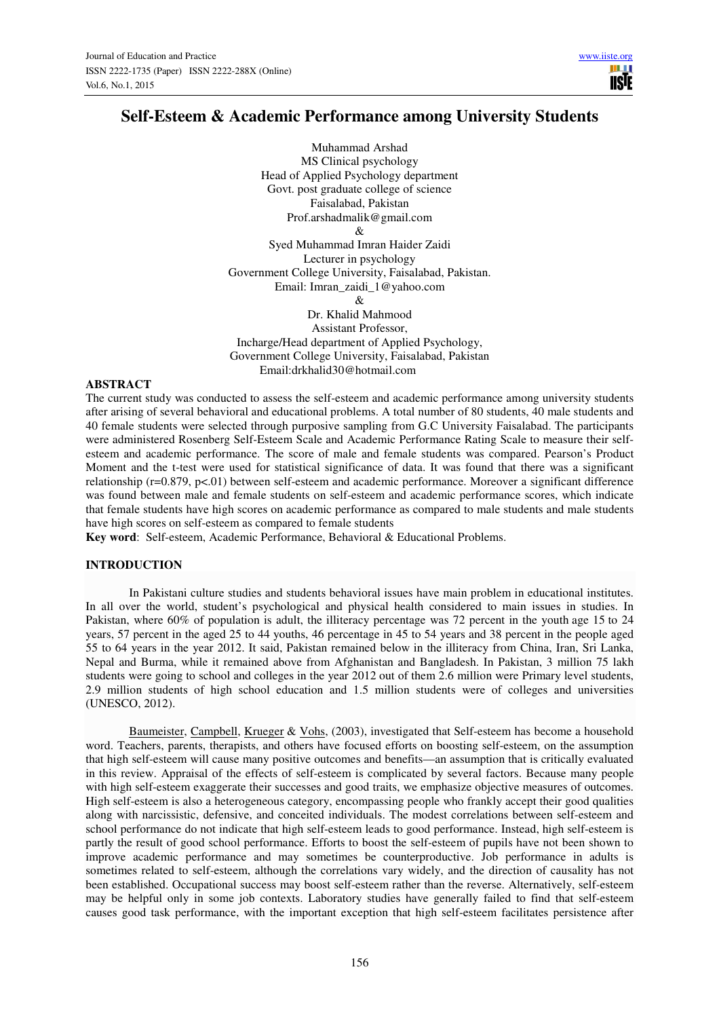TRIF

# **Self-Esteem & Academic Performance among University Students**

Muhammad Arshad MS Clinical psychology Head of Applied Psychology department Govt. post graduate college of science Faisalabad, Pakistan Prof.arshadmalik@gmail.com & Syed Muhammad Imran Haider Zaidi Lecturer in psychology Government College University, Faisalabad, Pakistan. Email: Imran\_zaidi\_1@yahoo.com  $\mathcal{R}$ Dr. Khalid Mahmood Assistant Professor,

Incharge/Head department of Applied Psychology, Government College University, Faisalabad, Pakistan Email:drkhalid30@hotmail.com

## **ABSTRACT**

The current study was conducted to assess the self-esteem and academic performance among university students after arising of several behavioral and educational problems. A total number of 80 students, 40 male students and 40 female students were selected through purposive sampling from G.C University Faisalabad. The participants were administered Rosenberg Self-Esteem Scale and Academic Performance Rating Scale to measure their selfesteem and academic performance. The score of male and female students was compared. Pearson's Product Moment and the t-test were used for statistical significance of data. It was found that there was a significant relationship (r=0.879, p<.01) between self-esteem and academic performance. Moreover a significant difference was found between male and female students on self-esteem and academic performance scores, which indicate that female students have high scores on academic performance as compared to male students and male students have high scores on self-esteem as compared to female students

**Key word**: Self-esteem, Academic Performance, Behavioral & Educational Problems.

## **INTRODUCTION**

In Pakistani culture studies and students behavioral issues have main problem in educational institutes. In all over the world, student's psychological and physical health considered to main issues in studies. In Pakistan, where 60% of population is adult, the illiteracy percentage was 72 percent in the youth age 15 to 24 years, 57 percent in the aged 25 to 44 youths, 46 percentage in 45 to 54 years and 38 percent in the people aged 55 to 64 years in the year 2012. It said, Pakistan remained below in the illiteracy from China, Iran, Sri Lanka, Nepal and Burma, while it remained above from Afghanistan and Bangladesh. In Pakistan, 3 million 75 lakh students were going to school and colleges in the year 2012 out of them 2.6 million were Primary level students, 2.9 million students of high school education and 1.5 million students were of colleges and universities (UNESCO, 2012).

Baumeister, Campbell, Krueger & Vohs, (2003), investigated that Self-esteem has become a household word. Teachers, parents, therapists, and others have focused efforts on boosting self-esteem, on the assumption that high self-esteem will cause many positive outcomes and benefits—an assumption that is critically evaluated in this review. Appraisal of the effects of self-esteem is complicated by several factors. Because many people with high self-esteem exaggerate their successes and good traits, we emphasize objective measures of outcomes. High self-esteem is also a heterogeneous category, encompassing people who frankly accept their good qualities along with narcissistic, defensive, and conceited individuals. The modest correlations between self-esteem and school performance do not indicate that high self-esteem leads to good performance. Instead, high self-esteem is partly the result of good school performance. Efforts to boost the self-esteem of pupils have not been shown to improve academic performance and may sometimes be counterproductive. Job performance in adults is sometimes related to self-esteem, although the correlations vary widely, and the direction of causality has not been established. Occupational success may boost self-esteem rather than the reverse. Alternatively, self-esteem may be helpful only in some job contexts. Laboratory studies have generally failed to find that self-esteem causes good task performance, with the important exception that high self-esteem facilitates persistence after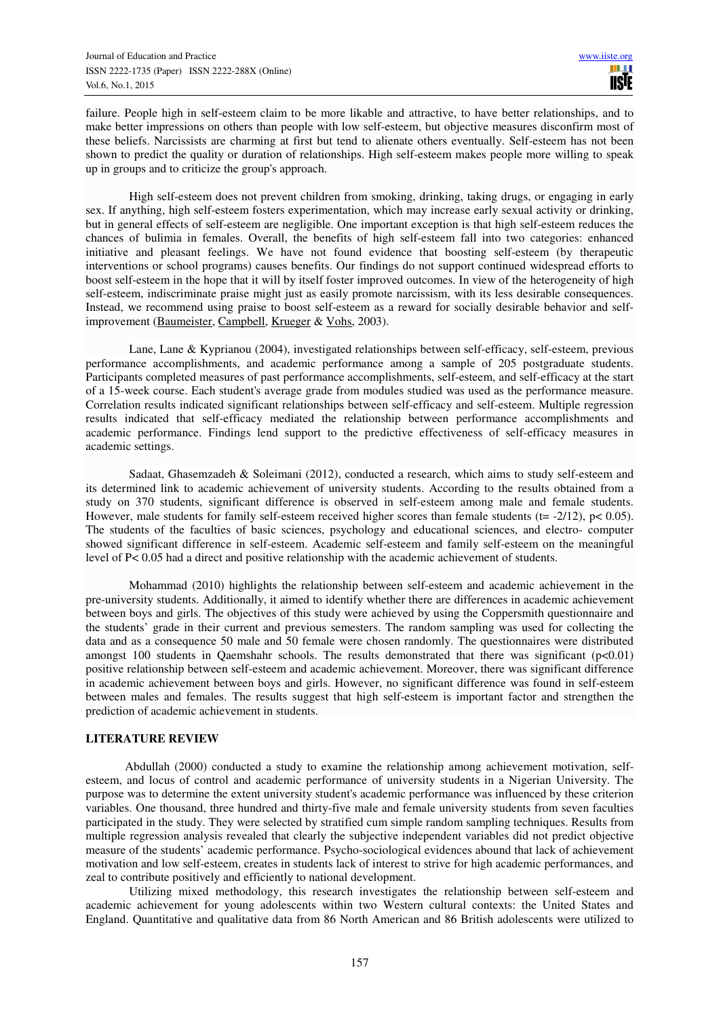failure. People high in self-esteem claim to be more likable and attractive, to have better relationships, and to make better impressions on others than people with low self-esteem, but objective measures disconfirm most of these beliefs. Narcissists are charming at first but tend to alienate others eventually. Self-esteem has not been shown to predict the quality or duration of relationships. High self-esteem makes people more willing to speak up in groups and to criticize the group's approach.

High self-esteem does not prevent children from smoking, drinking, taking drugs, or engaging in early sex. If anything, high self-esteem fosters experimentation, which may increase early sexual activity or drinking, but in general effects of self-esteem are negligible. One important exception is that high self-esteem reduces the chances of bulimia in females. Overall, the benefits of high self-esteem fall into two categories: enhanced initiative and pleasant feelings. We have not found evidence that boosting self-esteem (by therapeutic interventions or school programs) causes benefits. Our findings do not support continued widespread efforts to boost self-esteem in the hope that it will by itself foster improved outcomes. In view of the heterogeneity of high self-esteem, indiscriminate praise might just as easily promote narcissism, with its less desirable consequences. Instead, we recommend using praise to boost self-esteem as a reward for socially desirable behavior and selfimprovement (Baumeister, Campbell, Krueger & Vohs, 2003).

Lane, Lane & Kyprianou (2004), investigated relationships between self-efficacy, self-esteem, previous performance accomplishments, and academic performance among a sample of 205 postgraduate students. Participants completed measures of past performance accomplishments, self-esteem, and self-efficacy at the start of a 15-week course. Each student's average grade from modules studied was used as the performance measure. Correlation results indicated significant relationships between self-efficacy and self-esteem. Multiple regression results indicated that self-efficacy mediated the relationship between performance accomplishments and academic performance. Findings lend support to the predictive effectiveness of self-efficacy measures in academic settings.

Sadaat, Ghasemzadeh & Soleimani (2012), conducted a research, which aims to study self-esteem and its determined link to academic achievement of university students. According to the results obtained from a study on 370 students, significant difference is observed in self-esteem among male and female students. However, male students for family self-esteem received higher scores than female students (t=  $-2/12$ ),  $p < 0.05$ ). The students of the faculties of basic sciences, psychology and educational sciences, and electro- computer showed significant difference in self-esteem. Academic self-esteem and family self-esteem on the meaningful level of P< 0.05 had a direct and positive relationship with the academic achievement of students.

Mohammad (2010) highlights the relationship between self-esteem and academic achievement in the pre-university students. Additionally, it aimed to identify whether there are differences in academic achievement between boys and girls. The objectives of this study were achieved by using the Coppersmith questionnaire and the students' grade in their current and previous semesters. The random sampling was used for collecting the data and as a consequence 50 male and 50 female were chosen randomly. The questionnaires were distributed amongst 100 students in Qaemshahr schools. The results demonstrated that there was significant ( $p<0.01$ ) positive relationship between self-esteem and academic achievement. Moreover, there was significant difference in academic achievement between boys and girls. However, no significant difference was found in self-esteem between males and females. The results suggest that high self-esteem is important factor and strengthen the prediction of academic achievement in students.

# **LITERATURE REVIEW**

 Abdullah (2000) conducted a study to examine the relationship among achievement motivation, selfesteem, and locus of control and academic performance of university students in a Nigerian University. The purpose was to determine the extent university student's academic performance was influenced by these criterion variables. One thousand, three hundred and thirty-five male and female university students from seven faculties participated in the study. They were selected by stratified cum simple random sampling techniques. Results from multiple regression analysis revealed that clearly the subjective independent variables did not predict objective measure of the students' academic performance. Psycho-sociological evidences abound that lack of achievement motivation and low self-esteem, creates in students lack of interest to strive for high academic performances, and zeal to contribute positively and efficiently to national development.

Utilizing mixed methodology, this research investigates the relationship between self-esteem and academic achievement for young adolescents within two Western cultural contexts: the United States and England. Quantitative and qualitative data from 86 North American and 86 British adolescents were utilized to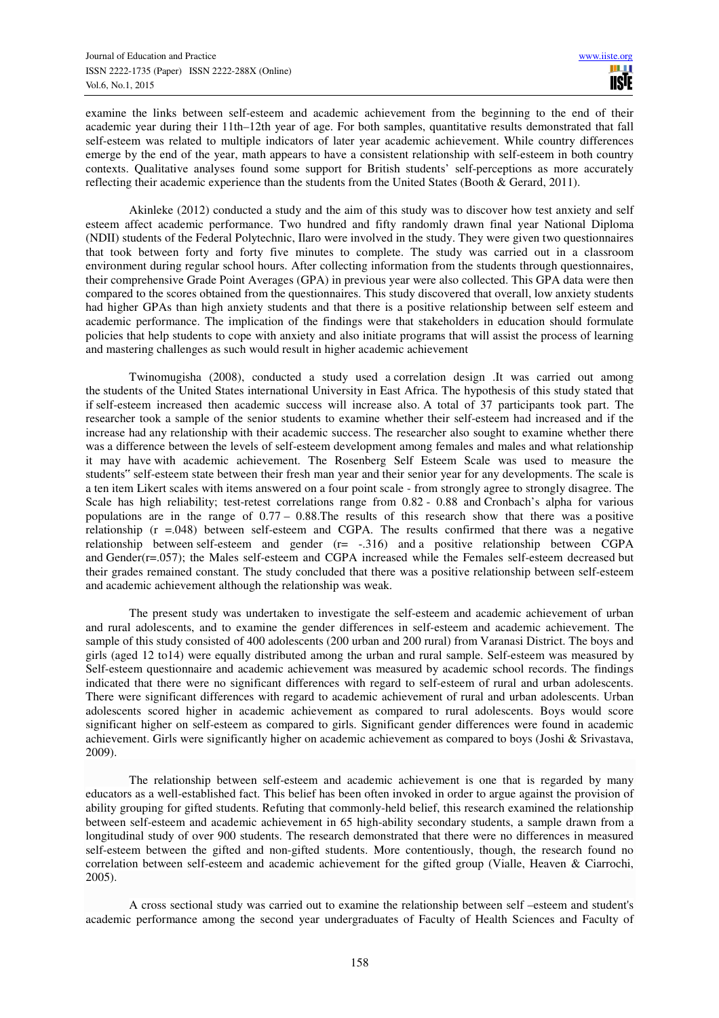examine the links between self-esteem and academic achievement from the beginning to the end of their academic year during their 11th–12th year of age. For both samples, quantitative results demonstrated that fall self-esteem was related to multiple indicators of later year academic achievement. While country differences emerge by the end of the year, math appears to have a consistent relationship with self-esteem in both country contexts. Qualitative analyses found some support for British students' self-perceptions as more accurately reflecting their academic experience than the students from the United States (Booth & Gerard, 2011).

Akinleke (2012) conducted a study and the aim of this study was to discover how test anxiety and self esteem affect academic performance. Two hundred and fifty randomly drawn final year National Diploma (NDII) students of the Federal Polytechnic, Ilaro were involved in the study. They were given two questionnaires that took between forty and forty five minutes to complete. The study was carried out in a classroom environment during regular school hours. After collecting information from the students through questionnaires, their comprehensive Grade Point Averages (GPA) in previous year were also collected. This GPA data were then compared to the scores obtained from the questionnaires. This study discovered that overall, low anxiety students had higher GPAs than high anxiety students and that there is a positive relationship between self esteem and academic performance. The implication of the findings were that stakeholders in education should formulate policies that help students to cope with anxiety and also initiate programs that will assist the process of learning and mastering challenges as such would result in higher academic achievement

Twinomugisha (2008), conducted a study used a correlation design .It was carried out among the students of the United States international University in East Africa. The hypothesis of this study stated that if self-esteem increased then academic success will increase also. A total of 37 participants took part. The researcher took a sample of the senior students to examine whether their self-esteem had increased and if the increase had any relationship with their academic success. The researcher also sought to examine whether there was a difference between the levels of self-esteem development among females and males and what relationship it may have with academic achievement. The Rosenberg Self Esteem Scale was used to measure the students" self-esteem state between their fresh man year and their senior year for any developments. The scale is a ten item Likert scales with items answered on a four point scale - from strongly agree to strongly disagree. The Scale has high reliability; test-retest correlations range from 0.82 - 0.88 and Cronbach's alpha for various populations are in the range of  $0.77 - 0.88$ . The results of this research show that there was a positive relationship (r =.048) between self-esteem and CGPA. The results confirmed that there was a negative relationship between self-esteem and gender (r= -.316) and a positive relationship between CGPA and Gender(r=.057); the Males self-esteem and CGPA increased while the Females self-esteem decreased but their grades remained constant. The study concluded that there was a positive relationship between self-esteem and academic achievement although the relationship was weak.

The present study was undertaken to investigate the self-esteem and academic achievement of urban and rural adolescents, and to examine the gender differences in self-esteem and academic achievement. The sample of this study consisted of 400 adolescents (200 urban and 200 rural) from Varanasi District. The boys and girls (aged 12 to14) were equally distributed among the urban and rural sample. Self-esteem was measured by Self-esteem questionnaire and academic achievement was measured by academic school records. The findings indicated that there were no significant differences with regard to self-esteem of rural and urban adolescents. There were significant differences with regard to academic achievement of rural and urban adolescents. Urban adolescents scored higher in academic achievement as compared to rural adolescents. Boys would score significant higher on self-esteem as compared to girls. Significant gender differences were found in academic achievement. Girls were significantly higher on academic achievement as compared to boys (Joshi & Srivastava, 2009).

The relationship between self-esteem and academic achievement is one that is regarded by many educators as a well-established fact. This belief has been often invoked in order to argue against the provision of ability grouping for gifted students. Refuting that commonly-held belief, this research examined the relationship between self-esteem and academic achievement in 65 high-ability secondary students, a sample drawn from a longitudinal study of over 900 students. The research demonstrated that there were no differences in measured self-esteem between the gifted and non-gifted students. More contentiously, though, the research found no correlation between self-esteem and academic achievement for the gifted group (Vialle, Heaven & Ciarrochi, 2005).

A cross sectional study was carried out to examine the relationship between self –esteem and student's academic performance among the second year undergraduates of Faculty of Health Sciences and Faculty of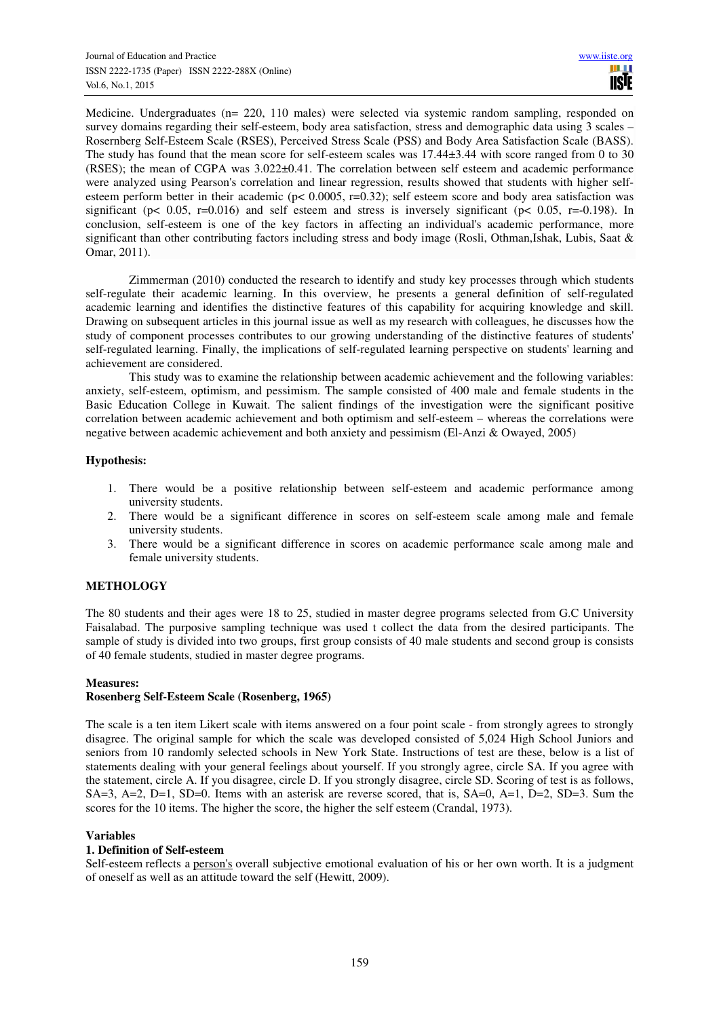Medicine. Undergraduates (n= 220, 110 males) were selected via systemic random sampling, responded on survey domains regarding their self-esteem, body area satisfaction, stress and demographic data using 3 scales – Rosernberg Self-Esteem Scale (RSES), Perceived Stress Scale (PSS) and Body Area Satisfaction Scale (BASS). The study has found that the mean score for self-esteem scales was 17.44±3.44 with score ranged from 0 to 30 (RSES); the mean of CGPA was 3.022±0.41. The correlation between self esteem and academic performance were analyzed using Pearson's correlation and linear regression, results showed that students with higher selfesteem perform better in their academic ( $p < 0.0005$ ,  $r=0.32$ ); self esteem score and body area satisfaction was significant ( $p < 0.05$ ,  $r=0.016$ ) and self esteem and stress is inversely significant ( $p < 0.05$ ,  $r=0.198$ ). In conclusion, self-esteem is one of the key factors in affecting an individual's academic performance, more significant than other contributing factors including stress and body image (Rosli, Othman,Ishak, Lubis, Saat & Omar, 2011).

Zimmerman (2010) conducted the research to identify and study key processes through which students self-regulate their academic learning. In this overview, he presents a general definition of self-regulated academic learning and identifies the distinctive features of this capability for acquiring knowledge and skill. Drawing on subsequent articles in this journal issue as well as my research with colleagues, he discusses how the study of component processes contributes to our growing understanding of the distinctive features of students' self-regulated learning. Finally, the implications of self-regulated learning perspective on students' learning and achievement are considered.

This study was to examine the relationship between academic achievement and the following variables: anxiety, self-esteem, optimism, and pessimism. The sample consisted of 400 male and female students in the Basic Education College in Kuwait. The salient findings of the investigation were the significant positive correlation between academic achievement and both optimism and self-esteem – whereas the correlations were negative between academic achievement and both anxiety and pessimism (El-Anzi & Owayed, 2005)

# **Hypothesis:**

- 1. There would be a positive relationship between self-esteem and academic performance among university students.
- 2. There would be a significant difference in scores on self-esteem scale among male and female university students.
- 3. There would be a significant difference in scores on academic performance scale among male and female university students.

# **METHOLOGY**

The 80 students and their ages were 18 to 25, studied in master degree programs selected from G.C University Faisalabad. The purposive sampling technique was used t collect the data from the desired participants. The sample of study is divided into two groups, first group consists of 40 male students and second group is consists of 40 female students, studied in master degree programs.

## **Measures:**

# **Rosenberg Self-Esteem Scale (Rosenberg, 1965)**

The scale is a ten item Likert scale with items answered on a four point scale - from strongly agrees to strongly disagree. The original sample for which the scale was developed consisted of 5,024 High School Juniors and seniors from 10 randomly selected schools in New York State. Instructions of test are these, below is a list of statements dealing with your general feelings about yourself. If you strongly agree, circle SA. If you agree with the statement, circle A. If you disagree, circle D. If you strongly disagree, circle SD. Scoring of test is as follows, SA=3, A=2, D=1, SD=0. Items with an asterisk are reverse scored, that is, SA=0, A=1, D=2, SD=3. Sum the scores for the 10 items. The higher the score, the higher the self esteem (Crandal, 1973).

### **Variables**

# **1. Definition of Self-esteem**

Self-esteem reflects a person's overall subjective emotional evaluation of his or her own worth. It is a judgment of oneself as well as an attitude toward the self (Hewitt, 2009).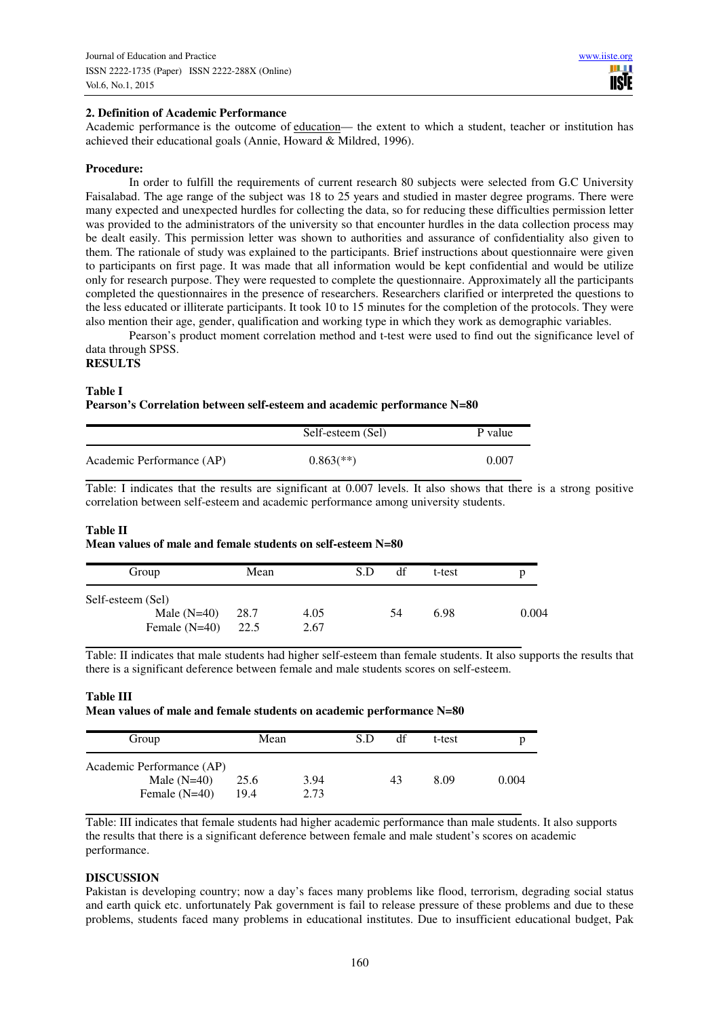## **2. Definition of Academic Performance**

Academic performance is the outcome of education— the extent to which a student, teacher or institution has achieved their educational goals (Annie, Howard & Mildred, 1996).

## **Procedure:**

In order to fulfill the requirements of current research 80 subjects were selected from G.C University Faisalabad. The age range of the subject was 18 to 25 years and studied in master degree programs. There were many expected and unexpected hurdles for collecting the data, so for reducing these difficulties permission letter was provided to the administrators of the university so that encounter hurdles in the data collection process may be dealt easily. This permission letter was shown to authorities and assurance of confidentiality also given to them. The rationale of study was explained to the participants. Brief instructions about questionnaire were given to participants on first page. It was made that all information would be kept confidential and would be utilize only for research purpose. They were requested to complete the questionnaire. Approximately all the participants completed the questionnaires in the presence of researchers. Researchers clarified or interpreted the questions to the less educated or illiterate participants. It took 10 to 15 minutes for the completion of the protocols. They were also mention their age, gender, qualification and working type in which they work as demographic variables.

Pearson's product moment correlation method and t-test were used to find out the significance level of data through SPSS.

# **RESULTS**

**Table I** 

**Pearson's Correlation between self-esteem and academic performance N=80** 

|                           | Self-esteem (Sel)         | P value |
|---------------------------|---------------------------|---------|
| Academic Performance (AP) | $0.863$ <sup>(**)</sup> ) | 0.007   |

Table: I indicates that the results are significant at 0.007 levels. It also shows that there is a strong positive correlation between self-esteem and academic performance among university students.

### **Table II**

#### **Mean values of male and female students on self-esteem N=80**

| Group                                                 | Mean         |              | S.D | df | t-test | p     |
|-------------------------------------------------------|--------------|--------------|-----|----|--------|-------|
| Self-esteem (Sel)<br>Male $(N=40)$<br>Female $(N=40)$ | 28.7<br>22.5 | 4.05<br>2.67 |     | 54 | 6.98   | 0.004 |

Table: II indicates that male students had higher self-esteem than female students. It also supports the results that there is a significant deference between female and male students scores on self-esteem.

### **Table III**

**Mean values of male and female students on academic performance N=80** 

| Group                                                         | Mean         |              | S.D | df | t-test |       |
|---------------------------------------------------------------|--------------|--------------|-----|----|--------|-------|
| Academic Performance (AP)<br>Male $(N=40)$<br>Female $(N=40)$ | 25.6<br>19.4 | 3.94<br>2.73 |     | 43 | 8.09   | 0.004 |

Table: III indicates that female students had higher academic performance than male students. It also supports the results that there is a significant deference between female and male student's scores on academic performance.

### **DISCUSSION**

Pakistan is developing country; now a day's faces many problems like flood, terrorism, degrading social status and earth quick etc. unfortunately Pak government is fail to release pressure of these problems and due to these problems, students faced many problems in educational institutes. Due to insufficient educational budget, Pak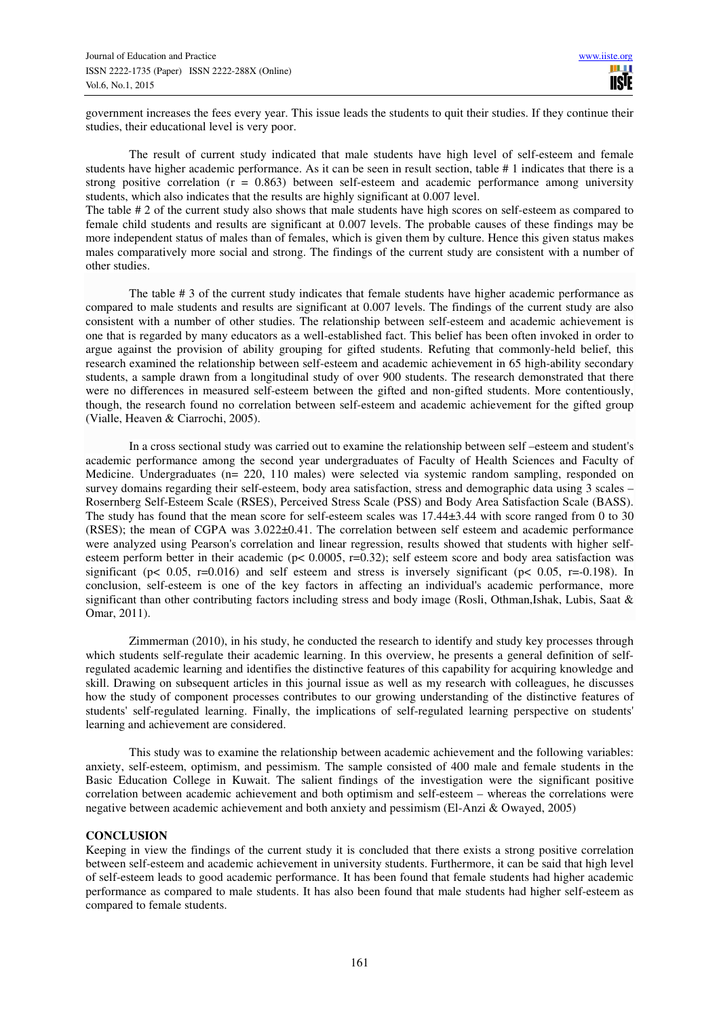government increases the fees every year. This issue leads the students to quit their studies. If they continue their studies, their educational level is very poor.

The result of current study indicated that male students have high level of self-esteem and female students have higher academic performance. As it can be seen in result section, table # 1 indicates that there is a strong positive correlation  $(r = 0.863)$  between self-esteem and academic performance among university students, which also indicates that the results are highly significant at 0.007 level. The table # 2 of the current study also shows that male students have high scores on self-esteem as compared to

female child students and results are significant at 0.007 levels. The probable causes of these findings may be more independent status of males than of females, which is given them by culture. Hence this given status makes males comparatively more social and strong. The findings of the current study are consistent with a number of other studies.

The table # 3 of the current study indicates that female students have higher academic performance as compared to male students and results are significant at 0.007 levels. The findings of the current study are also consistent with a number of other studies. The relationship between self-esteem and academic achievement is one that is regarded by many educators as a well-established fact. This belief has been often invoked in order to argue against the provision of ability grouping for gifted students. Refuting that commonly-held belief, this research examined the relationship between self-esteem and academic achievement in 65 high-ability secondary students, a sample drawn from a longitudinal study of over 900 students. The research demonstrated that there were no differences in measured self-esteem between the gifted and non-gifted students. More contentiously, though, the research found no correlation between self-esteem and academic achievement for the gifted group (Vialle, Heaven & Ciarrochi, 2005).

In a cross sectional study was carried out to examine the relationship between self –esteem and student's academic performance among the second year undergraduates of Faculty of Health Sciences and Faculty of Medicine. Undergraduates (n= 220, 110 males) were selected via systemic random sampling, responded on survey domains regarding their self-esteem, body area satisfaction, stress and demographic data using 3 scales – Rosernberg Self-Esteem Scale (RSES), Perceived Stress Scale (PSS) and Body Area Satisfaction Scale (BASS). The study has found that the mean score for self-esteem scales was 17.44±3.44 with score ranged from 0 to 30 (RSES); the mean of CGPA was 3.022±0.41. The correlation between self esteem and academic performance were analyzed using Pearson's correlation and linear regression, results showed that students with higher selfesteem perform better in their academic (p< 0.0005, r=0.32); self esteem score and body area satisfaction was significant ( $p < 0.05$ ,  $r=0.016$ ) and self esteem and stress is inversely significant ( $p < 0.05$ ,  $r=0.198$ ). In conclusion, self-esteem is one of the key factors in affecting an individual's academic performance, more significant than other contributing factors including stress and body image (Rosli, Othman,Ishak, Lubis, Saat & Omar, 2011).

Zimmerman (2010), in his study, he conducted the research to identify and study key processes through which students self-regulate their academic learning. In this overview, he presents a general definition of selfregulated academic learning and identifies the distinctive features of this capability for acquiring knowledge and skill. Drawing on subsequent articles in this journal issue as well as my research with colleagues, he discusses how the study of component processes contributes to our growing understanding of the distinctive features of students' self-regulated learning. Finally, the implications of self-regulated learning perspective on students' learning and achievement are considered.

This study was to examine the relationship between academic achievement and the following variables: anxiety, self-esteem, optimism, and pessimism. The sample consisted of 400 male and female students in the Basic Education College in Kuwait. The salient findings of the investigation were the significant positive correlation between academic achievement and both optimism and self-esteem – whereas the correlations were negative between academic achievement and both anxiety and pessimism (El-Anzi & Owayed, 2005)

# **CONCLUSION**

Keeping in view the findings of the current study it is concluded that there exists a strong positive correlation between self-esteem and academic achievement in university students. Furthermore, it can be said that high level of self-esteem leads to good academic performance. It has been found that female students had higher academic performance as compared to male students. It has also been found that male students had higher self-esteem as compared to female students.